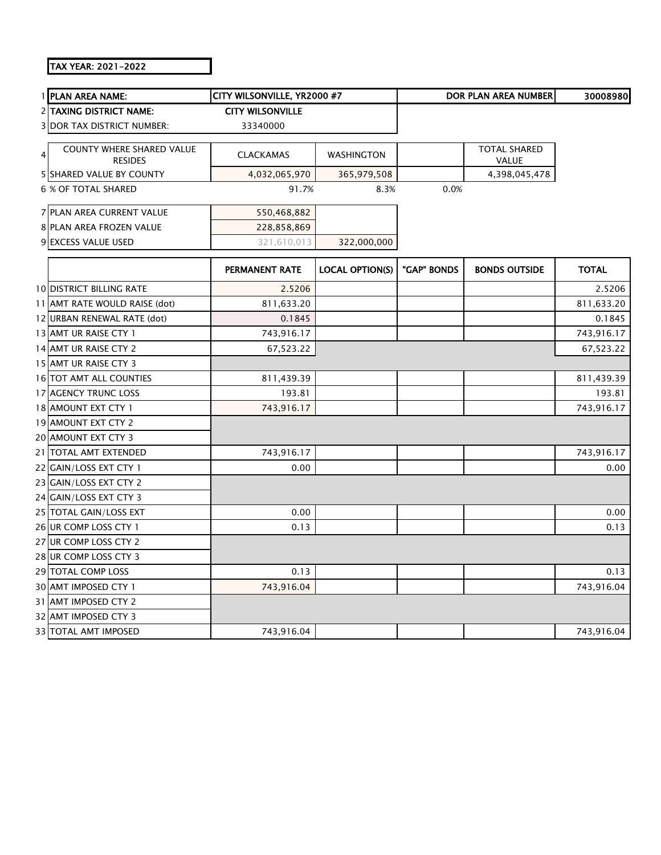## TAX YEAR: 2021-2022

|   | 1 PLAN AREA NAME:                                  | CITY WILSONVILLE, YR2000 #7 |                        |             | DOR PLAN AREA NUMBER         | 30008980     |
|---|----------------------------------------------------|-----------------------------|------------------------|-------------|------------------------------|--------------|
|   | 2 TAXING DISTRICT NAME:                            | <b>CITY WILSONVILLE</b>     |                        |             |                              |              |
|   | <b>3 DOR TAX DISTRICT NUMBER:</b>                  | 33340000                    |                        |             |                              |              |
| 4 | <b>COUNTY WHERE SHARED VALUE</b><br><b>RESIDES</b> | <b>CLACKAMAS</b>            | WASHINGTON             |             | <b>TOTAL SHARED</b><br>VALUE |              |
|   | <b>5 SHARED VALUE BY COUNTY</b>                    | 4,032,065,970               | 365,979,508            |             | 4,398,045,478                |              |
|   | 6 % OF TOTAL SHARED                                | 91.7%                       | 8.3%                   | 0.0%        |                              |              |
|   | 7 PLAN AREA CURRENT VALUE                          | 550,468,882                 |                        |             |                              |              |
|   | 8 PLAN AREA FROZEN VALUE                           | 228,858,869                 |                        |             |                              |              |
|   | 9 EXCESS VALUE USED                                | 321,610,013                 | 322,000,000            |             |                              |              |
|   |                                                    | <b>PERMANENT RATE</b>       | <b>LOCAL OPTION(S)</b> | "GAP" BONDS | <b>BONDS OUTSIDE</b>         | <b>TOTAL</b> |
|   | <b>10 DISTRICT BILLING RATE</b>                    | 2.5206                      |                        |             |                              | 2.5206       |
|   | 11 AMT RATE WOULD RAISE (dot)                      | 811,633.20                  |                        |             |                              | 811,633.20   |
|   | 12 URBAN RENEWAL RATE (dot)                        | 0.1845                      |                        |             |                              | 0.1845       |
|   | 13 AMT UR RAISE CTY 1                              | 743,916.17                  |                        |             |                              | 743,916.17   |
|   | 14 AMT UR RAISE CTY 2                              | 67,523.22                   |                        |             |                              | 67,523.22    |
|   | 15 AMT UR RAISE CTY 3                              |                             |                        |             |                              |              |
|   | 16 TOT AMT ALL COUNTIES                            | 811,439.39                  |                        |             |                              | 811,439.39   |
|   | 17 AGENCY TRUNC LOSS                               | 193.81                      |                        |             |                              | 193.81       |
|   | 18 AMOUNT EXT CTY 1                                | 743,916.17                  |                        |             |                              | 743,916.17   |
|   | 19 AMOUNT EXT CTY 2                                |                             |                        |             |                              |              |
|   | 20 AMOUNT EXT CTY 3                                |                             |                        |             |                              |              |
|   | 21 TOTAL AMT EXTENDED                              | 743,916.17                  |                        |             |                              | 743,916.17   |
|   | 22 GAIN/LOSS EXT CTY 1                             | 0.00                        |                        |             |                              | 0.00         |
|   | 23 GAIN/LOSS EXT CTY 2                             |                             |                        |             |                              |              |
|   | 24 GAIN/LOSS EXT CTY 3                             |                             |                        |             |                              |              |
|   | 25 TOTAL GAIN/LOSS EXT                             | 0.00                        |                        |             |                              | 0.00         |
|   | 26 UR COMP LOSS CTY 1                              | 0.13                        |                        |             |                              | 0.13         |
|   | 27 UR COMP LOSS CTY 2                              |                             |                        |             |                              |              |
|   | 28 UR COMP LOSS CTY 3                              |                             |                        |             |                              |              |
|   | 29 TOTAL COMP LOSS                                 | 0.13                        |                        |             |                              | 0.13         |
|   | 30 AMT IMPOSED CTY 1                               | 743,916.04                  |                        |             |                              | 743,916.04   |
|   | 31 AMT IMPOSED CTY 2                               |                             |                        |             |                              |              |
|   | 32 AMT IMPOSED CTY 3                               |                             |                        |             |                              |              |
|   | 33 TOTAL AMT IMPOSED                               | 743,916.04                  |                        |             |                              | 743,916.04   |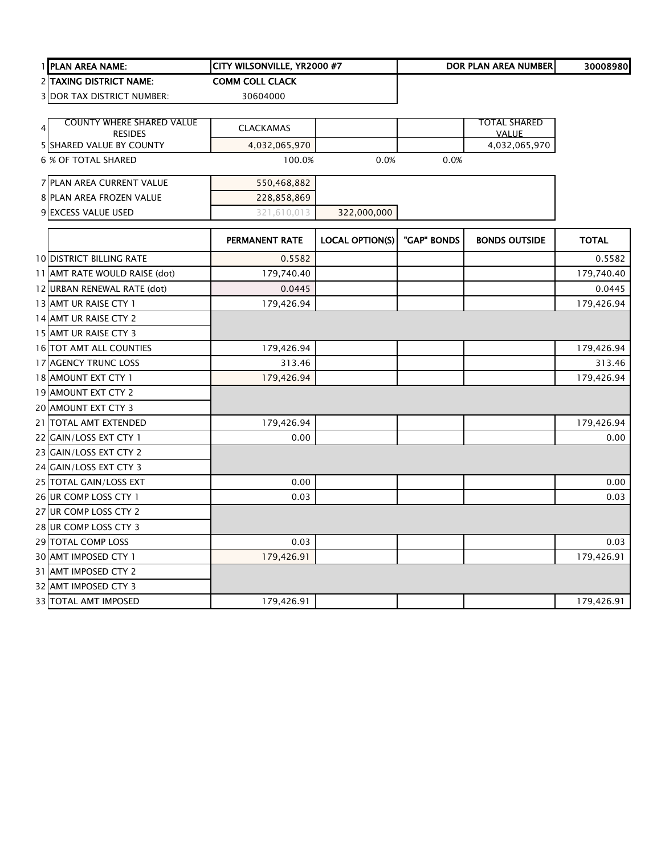|   | 1 PLAN AREA NAME:                                  | CITY WILSONVILLE, YR2000 #7 |                        |             | <b>DOR PLAN AREA NUMBER</b>         | 30008980     |
|---|----------------------------------------------------|-----------------------------|------------------------|-------------|-------------------------------------|--------------|
|   | 2 TAXING DISTRICT NAME:                            | <b>COMM COLL CLACK</b>      |                        |             |                                     |              |
|   | 3 DOR TAX DISTRICT NUMBER:                         | 30604000                    |                        |             |                                     |              |
|   |                                                    |                             |                        |             |                                     |              |
| 4 | <b>COUNTY WHERE SHARED VALUE</b><br><b>RESIDES</b> | <b>CLACKAMAS</b>            |                        |             | <b>TOTAL SHARED</b><br><b>VALUE</b> |              |
|   | 5 SHARED VALUE BY COUNTY                           | 4,032,065,970               |                        |             | 4,032,065,970                       |              |
|   | <b>6 % OF TOTAL SHARED</b>                         | 100.0%                      | 0.0%                   | 0.0%        |                                     |              |
|   | 7 PLAN AREA CURRENT VALUE                          | 550,468,882                 |                        |             |                                     |              |
|   | 8 PLAN AREA FROZEN VALUE                           | 228,858,869                 |                        |             |                                     |              |
|   | 9 EXCESS VALUE USED                                | 321,610,013                 | 322,000,000            |             |                                     |              |
|   |                                                    | PERMANENT RATE              | <b>LOCAL OPTION(S)</b> | "GAP" BONDS | <b>BONDS OUTSIDE</b>                | <b>TOTAL</b> |
|   | <b>10 DISTRICT BILLING RATE</b>                    | 0.5582                      |                        |             |                                     | 0.5582       |
|   | 11 AMT RATE WOULD RAISE (dot)                      | 179,740.40                  |                        |             |                                     | 179,740.40   |
|   | 12 URBAN RENEWAL RATE (dot)                        | 0.0445                      |                        |             |                                     | 0.0445       |
|   | 13 AMT UR RAISE CTY 1                              | 179,426.94                  |                        |             |                                     | 179,426.94   |
|   | 14 AMT UR RAISE CTY 2                              |                             |                        |             |                                     |              |
|   | 15 AMT UR RAISE CTY 3                              |                             |                        |             |                                     |              |
|   | 16 TOT AMT ALL COUNTIES                            | 179,426.94                  |                        |             |                                     | 179,426.94   |
|   | 17 AGENCY TRUNC LOSS                               | 313.46                      |                        |             |                                     | 313.46       |
|   | 18 AMOUNT EXT CTY 1                                | 179,426.94                  |                        |             |                                     | 179,426.94   |
|   | 19 AMOUNT EXT CTY 2                                |                             |                        |             |                                     |              |
|   | 20 AMOUNT EXT CTY 3                                |                             |                        |             |                                     |              |
|   | 21 TOTAL AMT EXTENDED                              | 179,426.94                  |                        |             |                                     | 179,426.94   |
|   | 22 GAIN/LOSS EXT CTY 1                             | 0.00                        |                        |             |                                     | 0.00         |
|   | 23 GAIN/LOSS EXT CTY 2                             |                             |                        |             |                                     |              |
|   | 24 GAIN/LOSS EXT CTY 3                             |                             |                        |             |                                     |              |
|   | 25 TOTAL GAIN/LOSS EXT                             | 0.00                        |                        |             |                                     | 0.00         |
|   | 26 UR COMP LOSS CTY 1                              | 0.03                        |                        |             |                                     | 0.03         |
|   | 27 UR COMP LOSS CTY 2                              |                             |                        |             |                                     |              |
|   | 28 UR COMP LOSS CTY 3                              |                             |                        |             |                                     |              |
|   | 29 TOTAL COMP LOSS                                 | 0.03                        |                        |             |                                     | 0.03         |
|   | 30 AMT IMPOSED CTY 1                               | 179,426.91                  |                        |             |                                     | 179,426.91   |
|   | 31 AMT IMPOSED CTY 2                               |                             |                        |             |                                     |              |
|   | 32 AMT IMPOSED CTY 3                               |                             |                        |             |                                     |              |
|   | <b>33 TOTAL AMT IMPOSED</b>                        | 179,426.91                  |                        |             |                                     | 179,426.91   |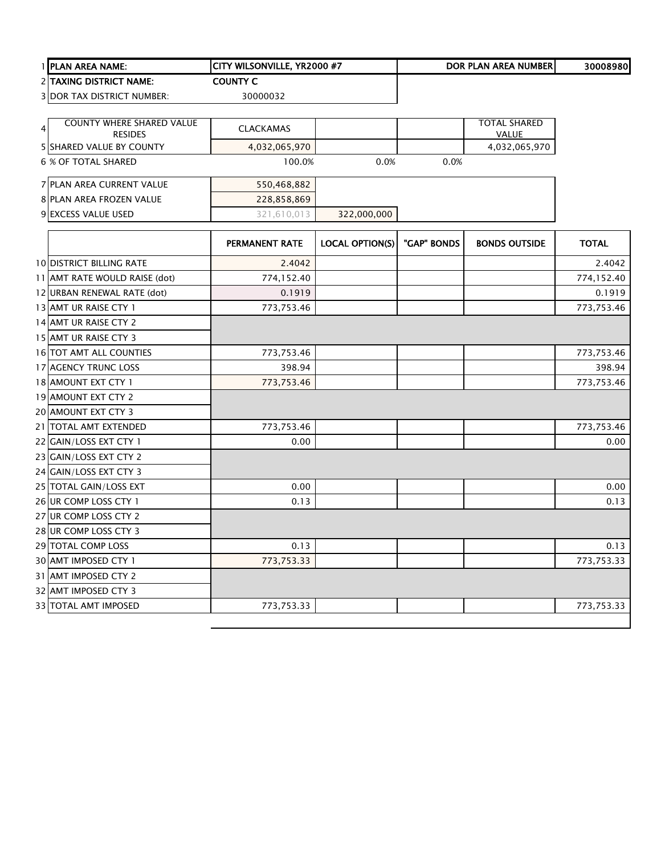|   | 1 PLAN AREA NAME:                          | CITY WILSONVILLE, YR2000 #7 |                        |             | DOR PLAN AREA NUMBER          | 30008980     |
|---|--------------------------------------------|-----------------------------|------------------------|-------------|-------------------------------|--------------|
|   | 2 TAXING DISTRICT NAME:                    | <b>COUNTY C</b>             |                        |             |                               |              |
|   | 3 DOR TAX DISTRICT NUMBER:                 | 30000032                    |                        |             |                               |              |
|   |                                            |                             |                        |             |                               |              |
| 4 | <b>COUNTY WHERE SHARED VALUE</b>           | <b>CLACKAMAS</b>            |                        |             | <b>TOTAL SHARED</b>           |              |
|   | <b>RESIDES</b><br>5 SHARED VALUE BY COUNTY | 4,032,065,970               |                        |             | <b>VALUE</b><br>4,032,065,970 |              |
|   | <b>6 % OF TOTAL SHARED</b>                 | 100.0%                      | 0.0%                   | 0.0%        |                               |              |
|   |                                            |                             |                        |             |                               |              |
|   | 7 PLAN AREA CURRENT VALUE                  | 550,468,882                 |                        |             |                               |              |
|   | 8 PLAN AREA FROZEN VALUE                   | 228,858,869                 |                        |             |                               |              |
|   | 9 EXCESS VALUE USED                        | 321,610,013                 | 322,000,000            |             |                               |              |
|   |                                            | <b>PERMANENT RATE</b>       | <b>LOCAL OPTION(S)</b> | "GAP" BONDS | <b>BONDS OUTSIDE</b>          | <b>TOTAL</b> |
|   | <b>10 DISTRICT BILLING RATE</b>            | 2.4042                      |                        |             |                               | 2.4042       |
|   | 11 AMT RATE WOULD RAISE (dot)              | 774,152.40                  |                        |             |                               | 774,152.40   |
|   | 12 URBAN RENEWAL RATE (dot)                | 0.1919                      |                        |             |                               | 0.1919       |
|   | 13 AMT UR RAISE CTY 1                      | 773,753.46                  |                        |             |                               | 773,753.46   |
|   | 14 AMT UR RAISE CTY 2                      |                             |                        |             |                               |              |
|   | 15 AMT UR RAISE CTY 3                      |                             |                        |             |                               |              |
|   | 16 TOT AMT ALL COUNTIES                    | 773,753.46                  |                        |             |                               | 773,753.46   |
|   | 17 AGENCY TRUNC LOSS                       | 398.94                      |                        |             |                               | 398.94       |
|   | 18 AMOUNT EXT CTY 1                        | 773,753.46                  |                        |             |                               | 773,753.46   |
|   | 19 AMOUNT EXT CTY 2                        |                             |                        |             |                               |              |
|   | 20 AMOUNT EXT CTY 3                        |                             |                        |             |                               |              |
|   | 21 TOTAL AMT EXTENDED                      | 773,753.46                  |                        |             |                               | 773,753.46   |
|   | 22 GAIN/LOSS EXT CTY 1                     | 0.00                        |                        |             |                               | 0.00         |
|   | 23 GAIN/LOSS EXT CTY 2                     |                             |                        |             |                               |              |
|   | 24 GAIN/LOSS EXT CTY 3                     |                             |                        |             |                               |              |
|   | 25 TOTAL GAIN/LOSS EXT                     | 0.00                        |                        |             |                               | 0.00         |
|   | 26 UR COMP LOSS CTY 1                      | 0.13                        |                        |             |                               | 0.13         |
|   | 27 UR COMP LOSS CTY 2                      |                             |                        |             |                               |              |
|   | 28 UR COMP LOSS CTY 3                      |                             |                        |             |                               |              |
|   | 29 TOTAL COMP LOSS                         | 0.13                        |                        |             |                               | 0.13         |
|   | 30 AMT IMPOSED CTY 1                       | 773,753.33                  |                        |             |                               | 773,753.33   |
|   | 31 AMT IMPOSED CTY 2                       |                             |                        |             |                               |              |
|   | 32 AMT IMPOSED CTY 3                       |                             |                        |             |                               |              |
|   | 33 TOTAL AMT IMPOSED                       | 773,753.33                  |                        |             |                               | 773,753.33   |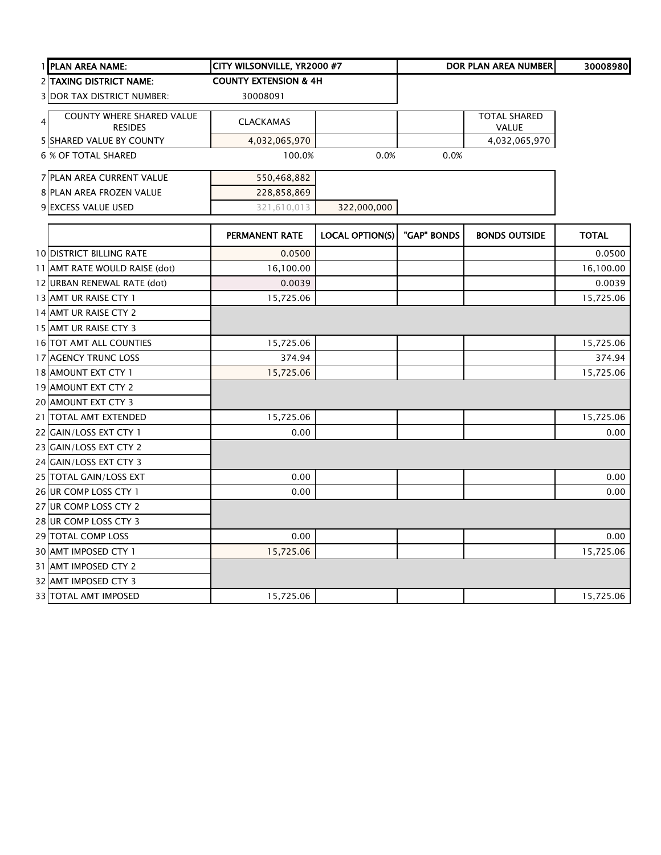| 1 PLAN AREA NAME:                                                    | CITY WILSONVILLE, YR2000 #7      |                        |             | <b>DOR PLAN AREA NUMBER</b>         | 30008980     |
|----------------------------------------------------------------------|----------------------------------|------------------------|-------------|-------------------------------------|--------------|
| <b>2 TAXING DISTRICT NAME:</b>                                       | <b>COUNTY EXTENSION &amp; 4H</b> |                        |             |                                     |              |
| <b>3 DOR TAX DISTRICT NUMBER:</b>                                    | 30008091                         |                        |             |                                     |              |
| <b>COUNTY WHERE SHARED VALUE</b><br>$\overline{4}$<br><b>RESIDES</b> | <b>CLACKAMAS</b>                 |                        |             | <b>TOTAL SHARED</b><br><b>VALUE</b> |              |
| <b>5 SHARED VALUE BY COUNTY</b>                                      | 4,032,065,970                    |                        |             | 4,032,065,970                       |              |
| 6 % OF TOTAL SHARED                                                  | 100.0%                           | 0.0%                   | 0.0%        |                                     |              |
| 7 PLAN AREA CURRENT VALUE                                            | 550,468,882                      |                        |             |                                     |              |
| 8 PLAN AREA FROZEN VALUE                                             | 228,858,869                      |                        |             |                                     |              |
| 9 EXCESS VALUE USED                                                  | 321,610,013                      | 322,000,000            |             |                                     |              |
|                                                                      | PERMANENT RATE                   | <b>LOCAL OPTION(S)</b> | "GAP" BONDS | <b>BONDS OUTSIDE</b>                | <b>TOTAL</b> |
| <b>10 DISTRICT BILLING RATE</b>                                      | 0.0500                           |                        |             |                                     | 0.0500       |
| 11 AMT RATE WOULD RAISE (dot)                                        | 16,100.00                        |                        |             |                                     | 16,100.00    |
| 12 URBAN RENEWAL RATE (dot)                                          | 0.0039                           |                        |             |                                     | 0.0039       |
| 13 AMT UR RAISE CTY 1                                                | 15,725.06                        |                        |             |                                     | 15,725.06    |
| 14 AMT UR RAISE CTY 2                                                |                                  |                        |             |                                     |              |
| 15 AMT UR RAISE CTY 3                                                |                                  |                        |             |                                     |              |
| 16 TOT AMT ALL COUNTIES                                              | 15,725.06                        |                        |             |                                     | 15,725.06    |
| 17 AGENCY TRUNC LOSS                                                 | 374.94                           |                        |             |                                     | 374.94       |
| 18 AMOUNT EXT CTY 1                                                  | 15,725.06                        |                        |             |                                     | 15,725.06    |
| 19 AMOUNT EXT CTY 2                                                  |                                  |                        |             |                                     |              |
| 20 AMOUNT EXT CTY 3                                                  |                                  |                        |             |                                     |              |
| 21 TOTAL AMT EXTENDED                                                | 15,725.06                        |                        |             |                                     | 15,725.06    |
| 22 GAIN/LOSS EXT CTY 1                                               | 0.00                             |                        |             |                                     | 0.00         |
| 23 GAIN/LOSS EXT CTY 2                                               |                                  |                        |             |                                     |              |
| 24 GAIN/LOSS EXT CTY 3                                               |                                  |                        |             |                                     |              |
| 25 TOTAL GAIN/LOSS EXT                                               | 0.00                             |                        |             |                                     | 0.00         |
| 26 UR COMP LOSS CTY 1                                                | 0.00                             |                        |             |                                     | 0.00         |
| 27 UR COMP LOSS CTY 2                                                |                                  |                        |             |                                     |              |
| 28 UR COMP LOSS CTY 3                                                |                                  |                        |             |                                     |              |
| 29 TOTAL COMP LOSS                                                   | 0.00                             |                        |             |                                     | 0.00         |
| 30 AMT IMPOSED CTY 1                                                 | 15,725.06                        |                        |             |                                     | 15,725.06    |
| 31 AMT IMPOSED CTY 2                                                 |                                  |                        |             |                                     |              |
| 32 AMT IMPOSED CTY 3                                                 |                                  |                        |             |                                     |              |
| 33 TOTAL AMT IMPOSED                                                 | 15,725.06                        |                        |             |                                     | 15,725.06    |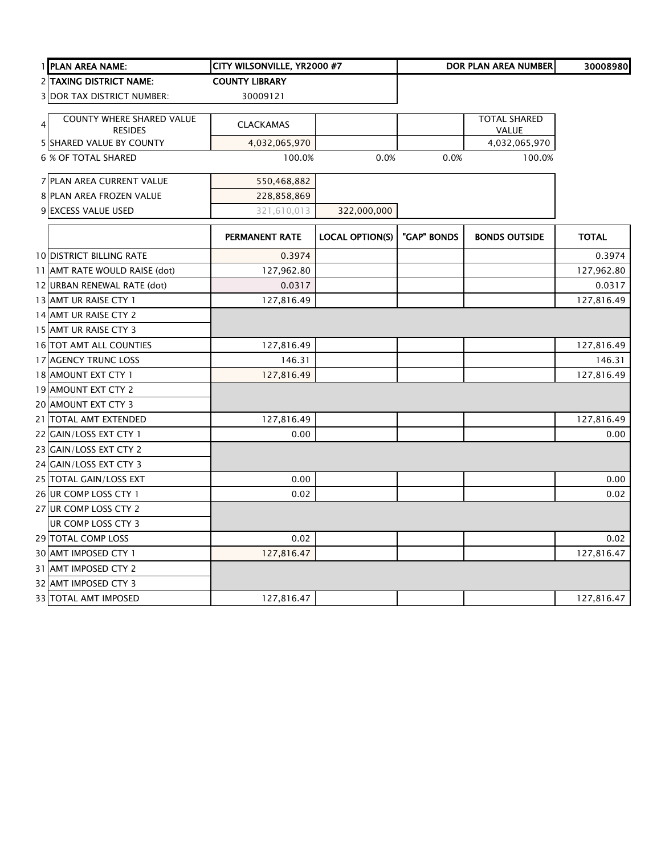| 1 PLAN AREA NAME:                 | CITY WILSONVILLE, YR2000 #7 |                        |             | <b>DOR PLAN AREA NUMBER</b> | 30008980     |
|-----------------------------------|-----------------------------|------------------------|-------------|-----------------------------|--------------|
| 2 TAXING DISTRICT NAME:           | <b>COUNTY LIBRARY</b>       |                        |             |                             |              |
| <b>3 DOR TAX DISTRICT NUMBER:</b> | 30009121                    |                        |             |                             |              |
| COUNTY WHERE SHARED VALUE         |                             |                        |             | <b>TOTAL SHARED</b>         |              |
| 4<br><b>RESIDES</b>               | <b>CLACKAMAS</b>            |                        |             | VALUE                       |              |
| 5 SHARED VALUE BY COUNTY          | 4,032,065,970               |                        |             | 4,032,065,970               |              |
| 6 % OF TOTAL SHARED               | 100.0%                      | 0.0%                   | 0.0%        | 100.0%                      |              |
| 7 PLAN AREA CURRENT VALUE         | 550,468,882                 |                        |             |                             |              |
| 8 PLAN AREA FROZEN VALUE          | 228,858,869                 |                        |             |                             |              |
| 9 EXCESS VALUE USED               | 321,610,013                 | 322,000,000            |             |                             |              |
|                                   | PERMANENT RATE              | <b>LOCAL OPTION(S)</b> | "GAP" BONDS | <b>BONDS OUTSIDE</b>        | <b>TOTAL</b> |
| <b>10 DISTRICT BILLING RATE</b>   | 0.3974                      |                        |             |                             | 0.3974       |
| 11 AMT RATE WOULD RAISE (dot)     | 127,962.80                  |                        |             |                             | 127,962.80   |
| 12 URBAN RENEWAL RATE (dot)       | 0.0317                      |                        |             |                             | 0.0317       |
| 13 AMT UR RAISE CTY 1             | 127,816.49                  |                        |             |                             | 127,816.49   |
| 14 AMT UR RAISE CTY 2             |                             |                        |             |                             |              |
| 15 AMT UR RAISE CTY 3             |                             |                        |             |                             |              |
| 16 TOT AMT ALL COUNTIES           | 127,816.49                  |                        |             |                             | 127,816.49   |
| 17 AGENCY TRUNC LOSS              | 146.31                      |                        |             |                             | 146.31       |
| 18 AMOUNT EXT CTY 1               | 127,816.49                  |                        |             |                             | 127,816.49   |
| 19 AMOUNT EXT CTY 2               |                             |                        |             |                             |              |
| 20 AMOUNT EXT CTY 3               |                             |                        |             |                             |              |
| 21 TOTAL AMT EXTENDED             | 127,816.49                  |                        |             |                             | 127,816.49   |
| 22 GAIN/LOSS EXT CTY 1            | 0.00                        |                        |             |                             | 0.00         |
| 23 GAIN/LOSS EXT CTY 2            |                             |                        |             |                             |              |
| 24 GAIN/LOSS EXT CTY 3            |                             |                        |             |                             |              |
| 25 TOTAL GAIN/LOSS EXT            | 0.00                        |                        |             |                             | 0.00         |
| 26 UR COMP LOSS CTY 1             | 0.02                        |                        |             |                             | 0.02         |
| 27 UR COMP LOSS CTY 2             |                             |                        |             |                             |              |
| UR COMP LOSS CTY 3                |                             |                        |             |                             |              |
| 29 TOTAL COMP LOSS                | 0.02                        |                        |             |                             | 0.02         |
| 30 AMT IMPOSED CTY 1              | 127,816.47                  |                        |             |                             | 127,816.47   |
| 31 AMT IMPOSED CTY 2              |                             |                        |             |                             |              |
| 32 AMT IMPOSED CTY 3              |                             |                        |             |                             |              |
| 33 TOTAL AMT IMPOSED              | 127,816.47                  |                        |             |                             | 127,816.47   |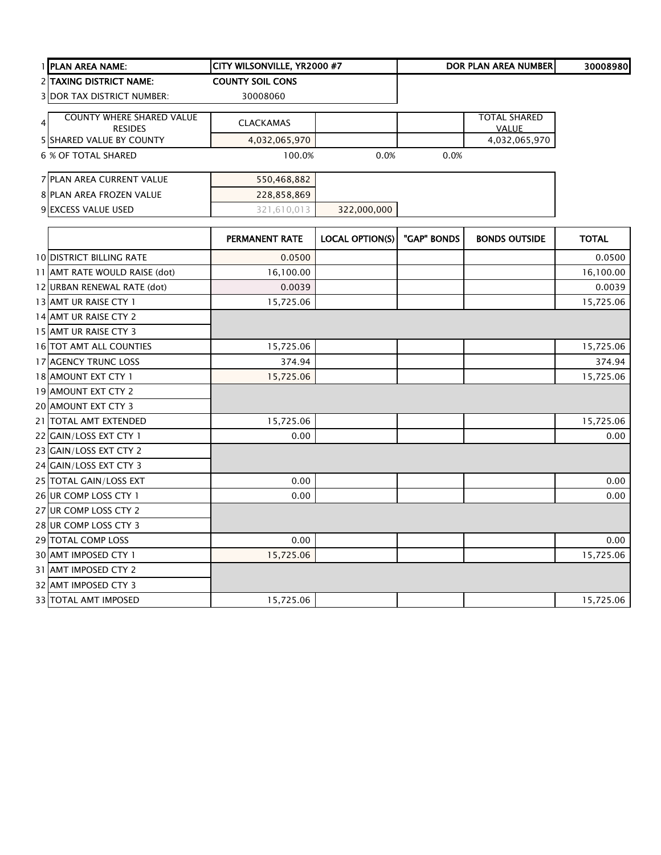|                | 1 PLAN AREA NAME:                 | CITY WILSONVILLE, YR2000 #7 |                        |             | <b>DOR PLAN AREA NUMBER</b> | 30008980     |
|----------------|-----------------------------------|-----------------------------|------------------------|-------------|-----------------------------|--------------|
|                | <b>2 TAXING DISTRICT NAME:</b>    | <b>COUNTY SOIL CONS</b>     |                        |             |                             |              |
|                | <b>3 DOR TAX DISTRICT NUMBER:</b> | 30008060                    |                        |             |                             |              |
|                | <b>COUNTY WHERE SHARED VALUE</b>  |                             |                        |             | <b>TOTAL SHARED</b>         |              |
| $\overline{4}$ | <b>RESIDES</b>                    | <b>CLACKAMAS</b>            |                        |             | <b>VALUE</b>                |              |
|                | 5 SHARED VALUE BY COUNTY          | 4,032,065,970               |                        |             | 4,032,065,970               |              |
|                | 6 % OF TOTAL SHARED               | 100.0%                      | 0.0%                   | 0.0%        |                             |              |
|                | 7 PLAN AREA CURRENT VALUE         | 550,468,882                 |                        |             |                             |              |
|                | 8 PLAN AREA FROZEN VALUE          | 228,858,869                 |                        |             |                             |              |
|                | 9 EXCESS VALUE USED               | 321,610,013                 | 322,000,000            |             |                             |              |
|                |                                   |                             |                        |             |                             |              |
|                |                                   | PERMANENT RATE              | <b>LOCAL OPTION(S)</b> | "GAP" BONDS | <b>BONDS OUTSIDE</b>        | <b>TOTAL</b> |
|                | <b>10 DISTRICT BILLING RATE</b>   | 0.0500                      |                        |             |                             | 0.0500       |
|                | 11 AMT RATE WOULD RAISE (dot)     | 16,100.00                   |                        |             |                             | 16,100.00    |
|                | 12 URBAN RENEWAL RATE (dot)       | 0.0039                      |                        |             |                             | 0.0039       |
|                | 13 AMT UR RAISE CTY 1             | 15,725.06                   |                        |             |                             | 15,725.06    |
|                | 14 AMT UR RAISE CTY 2             |                             |                        |             |                             |              |
|                | 15 AMT UR RAISE CTY 3             |                             |                        |             |                             |              |
|                | 16 TOT AMT ALL COUNTIES           | 15,725.06                   |                        |             |                             | 15,725.06    |
|                | 17 AGENCY TRUNC LOSS              | 374.94                      |                        |             |                             | 374.94       |
|                | 18 AMOUNT EXT CTY 1               | 15,725.06                   |                        |             |                             | 15,725.06    |
|                | 19 AMOUNT EXT CTY 2               |                             |                        |             |                             |              |
|                | 20 AMOUNT EXT CTY 3               |                             |                        |             |                             |              |
|                | 21 TOTAL AMT EXTENDED             | 15,725.06                   |                        |             |                             | 15,725.06    |
|                | 22 GAIN/LOSS EXT CTY 1            | 0.00                        |                        |             |                             | 0.00         |
|                | 23 GAIN/LOSS EXT CTY 2            |                             |                        |             |                             |              |
|                | 24 GAIN/LOSS EXT CTY 3            |                             |                        |             |                             |              |
|                | 25 TOTAL GAIN/LOSS EXT            | 0.00                        |                        |             |                             | 0.00         |
|                | 26 UR COMP LOSS CTY 1             | 0.00                        |                        |             |                             | 0.00         |
|                | 27 UR COMP LOSS CTY 2             |                             |                        |             |                             |              |
|                | 28 UR COMP LOSS CTY 3             |                             |                        |             |                             |              |
|                | 29 TOTAL COMP LOSS                | 0.00                        |                        |             |                             | 0.00         |
|                | 30 AMT IMPOSED CTY 1              | 15,725.06                   |                        |             |                             | 15,725.06    |
|                | 31 AMT IMPOSED CTY 2              |                             |                        |             |                             |              |
|                | 32 AMT IMPOSED CTY 3              |                             |                        |             |                             |              |
|                | 33 TOTAL AMT IMPOSED              | 15,725.06                   |                        |             |                             | 15,725.06    |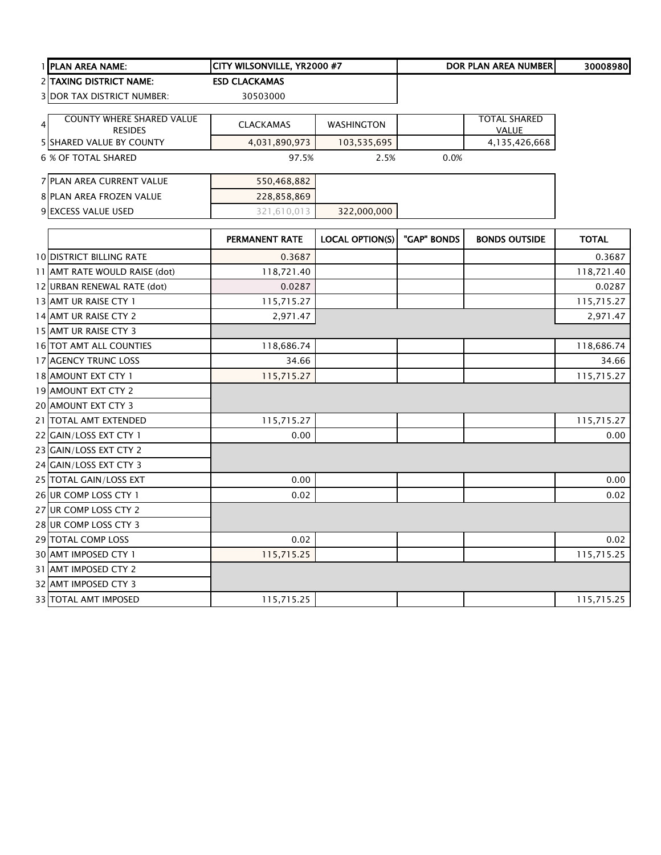|                | 1 PLAN AREA NAME:                 | CITY WILSONVILLE, YR2000 #7 |                        |             | DOR PLAN AREA NUMBER | 30008980     |
|----------------|-----------------------------------|-----------------------------|------------------------|-------------|----------------------|--------------|
|                | 2 TAXING DISTRICT NAME:           | <b>ESD CLACKAMAS</b>        |                        |             |                      |              |
|                | <b>3 DOR TAX DISTRICT NUMBER:</b> | 30503000                    |                        |             |                      |              |
|                | <b>COUNTY WHERE SHARED VALUE</b>  |                             |                        |             | <b>TOTAL SHARED</b>  |              |
| $\overline{4}$ | <b>RESIDES</b>                    | <b>CLACKAMAS</b>            | WASHINGTON             |             | <b>VALUE</b>         |              |
|                | <b>5 SHARED VALUE BY COUNTY</b>   | 4,031,890,973               | 103,535,695            |             | 4,135,426,668        |              |
|                | 6 % OF TOTAL SHARED               | 97.5%                       | 2.5%                   | 0.0%        |                      |              |
|                | 7 PLAN AREA CURRENT VALUE         | 550,468,882                 |                        |             |                      |              |
|                | 8 PLAN AREA FROZEN VALUE          | 228,858,869                 |                        |             |                      |              |
|                | 9 EXCESS VALUE USED               | 321,610,013                 | 322,000,000            |             |                      |              |
|                |                                   | <b>PERMANENT RATE</b>       | <b>LOCAL OPTION(S)</b> | "GAP" BONDS | <b>BONDS OUTSIDE</b> | <b>TOTAL</b> |
|                | <b>10 DISTRICT BILLING RATE</b>   | 0.3687                      |                        |             |                      | 0.3687       |
|                | 11 AMT RATE WOULD RAISE (dot)     | 118,721.40                  |                        |             |                      | 118,721.40   |
|                | 12 URBAN RENEWAL RATE (dot)       | 0.0287                      |                        |             |                      | 0.0287       |
|                | 13 AMT UR RAISE CTY 1             | 115,715.27                  |                        |             |                      | 115,715.27   |
|                | 14 AMT UR RAISE CTY 2             | 2,971.47                    |                        |             |                      | 2,971.47     |
|                | 15 AMT UR RAISE CTY 3             |                             |                        |             |                      |              |
|                | 16 TOT AMT ALL COUNTIES           | 118,686.74                  |                        |             |                      | 118,686.74   |
|                | 17 AGENCY TRUNC LOSS              | 34.66                       |                        |             |                      | 34.66        |
|                | 18 AMOUNT EXT CTY 1               | 115,715.27                  |                        |             |                      | 115,715.27   |
|                | 19 AMOUNT EXT CTY 2               |                             |                        |             |                      |              |
|                | 20 AMOUNT EXT CTY 3               |                             |                        |             |                      |              |
|                | 21 TOTAL AMT EXTENDED             | 115,715.27                  |                        |             |                      | 115,715.27   |
|                | 22 GAIN/LOSS EXT CTY 1            | 0.00                        |                        |             |                      | 0.00         |
|                | 23 GAIN/LOSS EXT CTY 2            |                             |                        |             |                      |              |
|                | 24 GAIN/LOSS EXT CTY 3            |                             |                        |             |                      |              |
|                | 25 TOTAL GAIN/LOSS EXT            | 0.00                        |                        |             |                      | 0.00         |
|                | 26 UR COMP LOSS CTY 1             | 0.02                        |                        |             |                      | 0.02         |
|                | 27 UR COMP LOSS CTY 2             |                             |                        |             |                      |              |
|                | 28 UR COMP LOSS CTY 3             |                             |                        |             |                      |              |
|                | 29 TOTAL COMP LOSS                | 0.02                        |                        |             |                      | 0.02         |
|                | 30 AMT IMPOSED CTY 1              | 115,715.25                  |                        |             |                      | 115,715.25   |
|                | 31 AMT IMPOSED CTY 2              |                             |                        |             |                      |              |
|                | 32 AMT IMPOSED CTY 3              |                             |                        |             |                      |              |
|                | <b>33 TOTAL AMT IMPOSED</b>       | 115,715.25                  |                        |             |                      | 115,715.25   |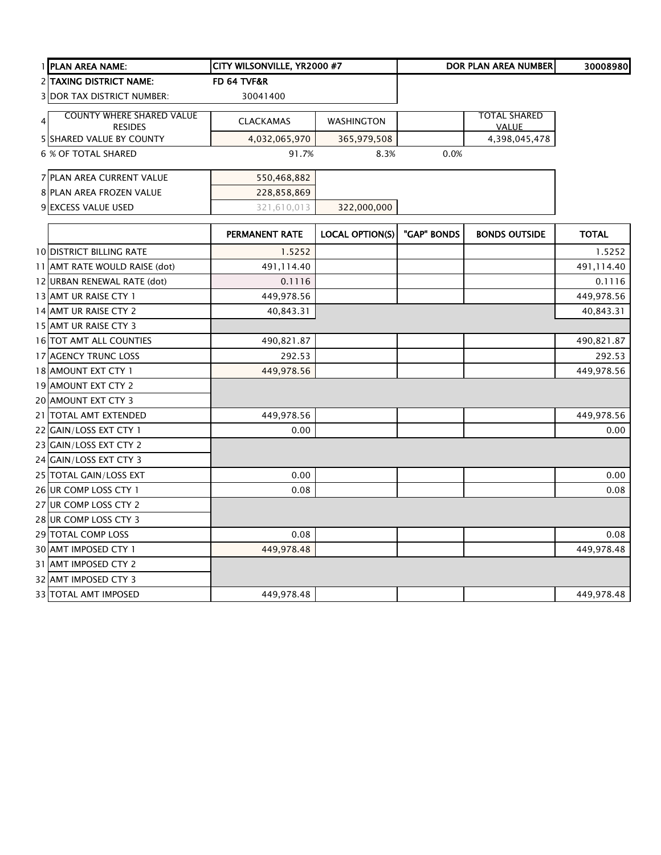|   | 1 PLAN AREA NAME:                                  | CITY WILSONVILLE, YR2000 #7 |                        |             | DOR PLAN AREA NUMBER                | 30008980     |
|---|----------------------------------------------------|-----------------------------|------------------------|-------------|-------------------------------------|--------------|
|   | 2 TAXING DISTRICT NAME:                            | FD 64 TVF&R                 |                        |             |                                     |              |
|   | <b>3 DOR TAX DISTRICT NUMBER:</b>                  | 30041400                    |                        |             |                                     |              |
| 4 | <b>COUNTY WHERE SHARED VALUE</b><br><b>RESIDES</b> | <b>CLACKAMAS</b>            | <b>WASHINGTON</b>      |             | <b>TOTAL SHARED</b><br><b>VALUE</b> |              |
|   | <b>5 SHARED VALUE BY COUNTY</b>                    | 4,032,065,970               | 365,979,508            |             | 4,398,045,478                       |              |
|   | <b>6 % OF TOTAL SHARED</b>                         | 91.7%                       | 8.3%                   | 0.0%        |                                     |              |
|   | 7 PLAN AREA CURRENT VALUE                          | 550,468,882                 |                        |             |                                     |              |
|   | 8 PLAN AREA FROZEN VALUE                           | 228,858,869                 |                        |             |                                     |              |
|   | 9 EXCESS VALUE USED                                | 321,610,013                 | 322,000,000            |             |                                     |              |
|   |                                                    | PERMANENT RATE              | <b>LOCAL OPTION(S)</b> | "GAP" BONDS | <b>BONDS OUTSIDE</b>                | <b>TOTAL</b> |
|   | <b>10 DISTRICT BILLING RATE</b>                    | 1.5252                      |                        |             |                                     | 1.5252       |
|   | 11 AMT RATE WOULD RAISE (dot)                      | 491,114.40                  |                        |             |                                     | 491,114.40   |
|   | 12 URBAN RENEWAL RATE (dot)                        | 0.1116                      |                        |             |                                     | 0.1116       |
|   | 13 AMT UR RAISE CTY 1                              | 449,978.56                  |                        |             |                                     | 449,978.56   |
|   | 14 AMT UR RAISE CTY 2                              | 40,843.31                   |                        |             |                                     | 40,843.31    |
|   | 15 AMT UR RAISE CTY 3                              |                             |                        |             |                                     |              |
|   | 16 TOT AMT ALL COUNTIES                            | 490,821.87                  |                        |             |                                     | 490,821.87   |
|   | 17 AGENCY TRUNC LOSS                               | 292.53                      |                        |             |                                     | 292.53       |
|   | 18 AMOUNT EXT CTY 1                                | 449,978.56                  |                        |             |                                     | 449,978.56   |
|   | 19 AMOUNT EXT CTY 2                                |                             |                        |             |                                     |              |
|   | 20 AMOUNT EXT CTY 3                                |                             |                        |             |                                     |              |
|   | 21 TOTAL AMT EXTENDED                              | 449,978.56                  |                        |             |                                     | 449,978.56   |
|   | 22 GAIN/LOSS EXT CTY 1                             | 0.00                        |                        |             |                                     | 0.00         |
|   | 23 GAIN/LOSS EXT CTY 2                             |                             |                        |             |                                     |              |
|   | 24 GAIN/LOSS EXT CTY 3                             |                             |                        |             |                                     |              |
|   | 25 TOTAL GAIN/LOSS EXT                             | 0.00                        |                        |             |                                     | 0.00         |
|   | 26 UR COMP LOSS CTY 1                              | 0.08                        |                        |             |                                     | 0.08         |
|   | 27 UR COMP LOSS CTY 2                              |                             |                        |             |                                     |              |
|   | 28 UR COMP LOSS CTY 3                              |                             |                        |             |                                     |              |
|   | 29 TOTAL COMP LOSS                                 | 0.08                        |                        |             |                                     | 0.08         |
|   | 30 AMT IMPOSED CTY 1                               | 449,978.48                  |                        |             |                                     | 449,978.48   |
|   | 31 AMT IMPOSED CTY 2                               |                             |                        |             |                                     |              |
|   | 32 AMT IMPOSED CTY 3                               |                             |                        |             |                                     |              |
|   | 33 TOTAL AMT IMPOSED                               | 449,978.48                  |                        |             |                                     | 449,978.48   |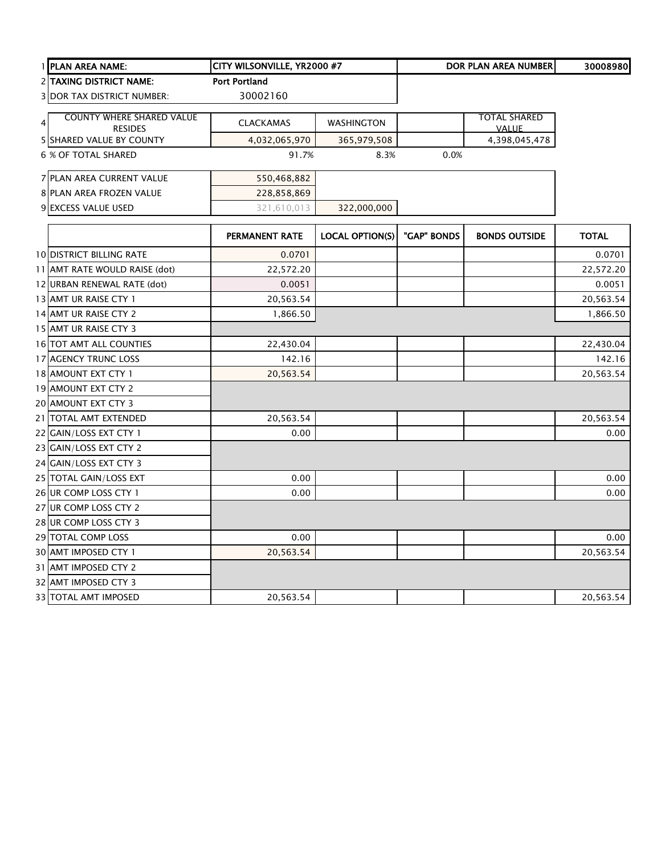| 1 PLAN AREA NAME:                 | CITY WILSONVILLE, YR2000 #7 |                        |             | <b>DOR PLAN AREA NUMBER</b> | 30008980     |
|-----------------------------------|-----------------------------|------------------------|-------------|-----------------------------|--------------|
| <b>2 TAXING DISTRICT NAME:</b>    | <b>Port Portland</b>        |                        |             |                             |              |
| <b>3 DOR TAX DISTRICT NUMBER:</b> | 30002160                    |                        |             |                             |              |
| <b>COUNTY WHERE SHARED VALUE</b>  |                             |                        |             | <b>TOTAL SHARED</b>         |              |
| $\overline{4}$<br><b>RESIDES</b>  | <b>CLACKAMAS</b>            | <b>WASHINGTON</b>      |             | <b>VALUE</b>                |              |
| <b>5 SHARED VALUE BY COUNTY</b>   | 4,032,065,970               | 365,979,508            |             | 4,398,045,478               |              |
| <b>6 % OF TOTAL SHARED</b>        | 91.7%                       | 8.3%                   | 0.0%        |                             |              |
| 7 PLAN AREA CURRENT VALUE         | 550,468,882                 |                        |             |                             |              |
| 8 PLAN AREA FROZEN VALUE          | 228,858,869                 |                        |             |                             |              |
| 9 EXCESS VALUE USED               | 321,610,013                 | 322,000,000            |             |                             |              |
|                                   | PERMANENT RATE              | <b>LOCAL OPTION(S)</b> | "GAP" BONDS | <b>BONDS OUTSIDE</b>        | <b>TOTAL</b> |
| <b>10 DISTRICT BILLING RATE</b>   | 0.0701                      |                        |             |                             | 0.0701       |
| 11 AMT RATE WOULD RAISE (dot)     | 22,572.20                   |                        |             |                             | 22,572.20    |
| 12 URBAN RENEWAL RATE (dot)       | 0.0051                      |                        |             |                             | 0.0051       |
| 13 AMT UR RAISE CTY 1             | 20,563.54                   |                        |             |                             | 20,563.54    |
| 14 AMT UR RAISE CTY 2             | 1,866.50                    |                        |             |                             | 1,866.50     |
| 15 AMT UR RAISE CTY 3             |                             |                        |             |                             |              |
| 16 TOT AMT ALL COUNTIES           | 22,430.04                   |                        |             |                             | 22,430.04    |
| 17 AGENCY TRUNC LOSS              | 142.16                      |                        |             |                             | 142.16       |
| 18 AMOUNT EXT CTY 1               | 20,563.54                   |                        |             |                             | 20,563.54    |
| 19 AMOUNT EXT CTY 2               |                             |                        |             |                             |              |
| 20 AMOUNT EXT CTY 3               |                             |                        |             |                             |              |
| 21 TOTAL AMT EXTENDED             | 20,563.54                   |                        |             |                             | 20,563.54    |
| 22 GAIN/LOSS EXT CTY 1            | 0.00                        |                        |             |                             | 0.00         |
| 23 GAIN/LOSS EXT CTY 2            |                             |                        |             |                             |              |
| 24 GAIN/LOSS EXT CTY 3            |                             |                        |             |                             |              |
| 25 TOTAL GAIN/LOSS EXT            | 0.00                        |                        |             |                             | 0.00         |
| 26 UR COMP LOSS CTY 1             | 0.00                        |                        |             |                             | 0.00         |
| 27 UR COMP LOSS CTY 2             |                             |                        |             |                             |              |
| 28 UR COMP LOSS CTY 3             |                             |                        |             |                             |              |
| 29 TOTAL COMP LOSS                | 0.00                        |                        |             |                             | 0.00         |
| 30 AMT IMPOSED CTY 1              | 20,563.54                   |                        |             |                             | 20,563.54    |
| 31 AMT IMPOSED CTY 2              |                             |                        |             |                             |              |
| 32 AMT IMPOSED CTY 3              |                             |                        |             |                             |              |
| 33 TOTAL AMT IMPOSED              | 20,563.54                   |                        |             |                             | 20,563.54    |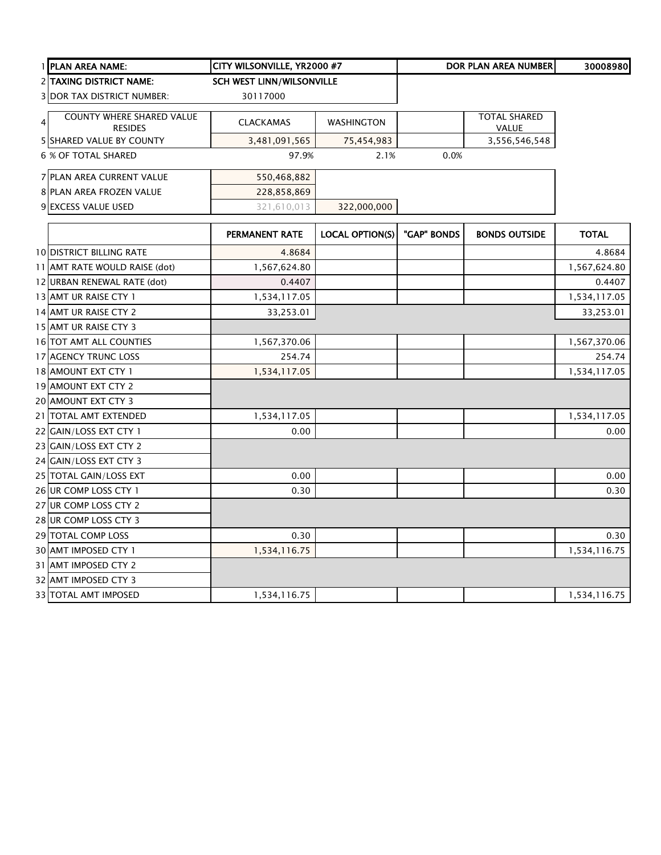|                | 1 PLAN AREA NAME:                                  | CITY WILSONVILLE, YR2000 #7      |                        |             | <b>DOR PLAN AREA NUMBER</b>  | 30008980     |
|----------------|----------------------------------------------------|----------------------------------|------------------------|-------------|------------------------------|--------------|
|                | 2 TAXING DISTRICT NAME:                            | <b>SCH WEST LINN/WILSONVILLE</b> |                        |             |                              |              |
|                | <b>3 DOR TAX DISTRICT NUMBER:</b>                  | 30117000                         |                        |             |                              |              |
| 4 <sup>1</sup> | <b>COUNTY WHERE SHARED VALUE</b><br><b>RESIDES</b> | <b>CLACKAMAS</b>                 | <b>WASHINGTON</b>      |             | <b>TOTAL SHARED</b><br>VALUE |              |
|                | 5 SHARED VALUE BY COUNTY                           | 3,481,091,565                    | 75,454,983             |             | 3,556,546,548                |              |
|                | 6 % OF TOTAL SHARED                                | 97.9%                            | 2.1%                   | 0.0%        |                              |              |
|                | <b>7 PLAN AREA CURRENT VALUE</b>                   | 550,468,882                      |                        |             |                              |              |
|                | 8 PLAN AREA FROZEN VALUE                           | 228,858,869                      |                        |             |                              |              |
|                | 9 EXCESS VALUE USED                                | 321,610,013                      | 322,000,000            |             |                              |              |
|                |                                                    | <b>PERMANENT RATE</b>            | <b>LOCAL OPTION(S)</b> | "GAP" BONDS | <b>BONDS OUTSIDE</b>         | <b>TOTAL</b> |
|                | <b>10 DISTRICT BILLING RATE</b>                    | 4.8684                           |                        |             |                              | 4.8684       |
|                | 11 AMT RATE WOULD RAISE (dot)                      | 1,567,624.80                     |                        |             |                              | 1,567,624.80 |
|                | 12 URBAN RENEWAL RATE (dot)                        | 0.4407                           |                        |             |                              | 0.4407       |
|                | 13 AMT UR RAISE CTY 1                              | 1,534,117.05                     |                        |             |                              | 1,534,117.05 |
|                | 14 AMT UR RAISE CTY 2                              | 33,253.01                        |                        |             |                              | 33,253.01    |
|                | 15 AMT UR RAISE CTY 3                              |                                  |                        |             |                              |              |
|                | 16 TOT AMT ALL COUNTIES                            | 1,567,370.06                     |                        |             |                              | 1,567,370.06 |
|                | 17 AGENCY TRUNC LOSS                               | 254.74                           |                        |             |                              | 254.74       |
|                | 18 AMOUNT EXT CTY 1                                | 1,534,117.05                     |                        |             |                              | 1,534,117.05 |
|                | 19 AMOUNT EXT CTY 2                                |                                  |                        |             |                              |              |
|                | 20 AMOUNT EXT CTY 3                                |                                  |                        |             |                              |              |
|                | 21   TOTAL AMT EXTENDED                            | 1,534,117.05                     |                        |             |                              | 1,534,117.05 |
|                | 22 GAIN/LOSS EXT CTY 1                             | 0.00                             |                        |             |                              | 0.00         |
|                | 23 GAIN/LOSS EXT CTY 2                             |                                  |                        |             |                              |              |
|                | 24 GAIN/LOSS EXT CTY 3                             |                                  |                        |             |                              |              |
|                | 25 TOTAL GAIN/LOSS EXT                             | 0.00                             |                        |             |                              | 0.00         |
|                | 26 UR COMP LOSS CTY 1                              | 0.30                             |                        |             |                              | 0.30         |
|                | 27 UR COMP LOSS CTY 2                              |                                  |                        |             |                              |              |
|                | 28 UR COMP LOSS CTY 3                              |                                  |                        |             |                              |              |
|                | 29 TOTAL COMP LOSS                                 | 0.30                             |                        |             |                              | 0.30         |
|                | 30 AMT IMPOSED CTY 1                               | 1,534,116.75                     |                        |             |                              | 1,534,116.75 |
|                | 31 AMT IMPOSED CTY 2                               |                                  |                        |             |                              |              |
|                | 32 AMT IMPOSED CTY 3                               |                                  |                        |             |                              |              |
|                | <b>33 TOTAL AMT IMPOSED</b>                        | 1,534,116.75                     |                        |             |                              | 1,534,116.75 |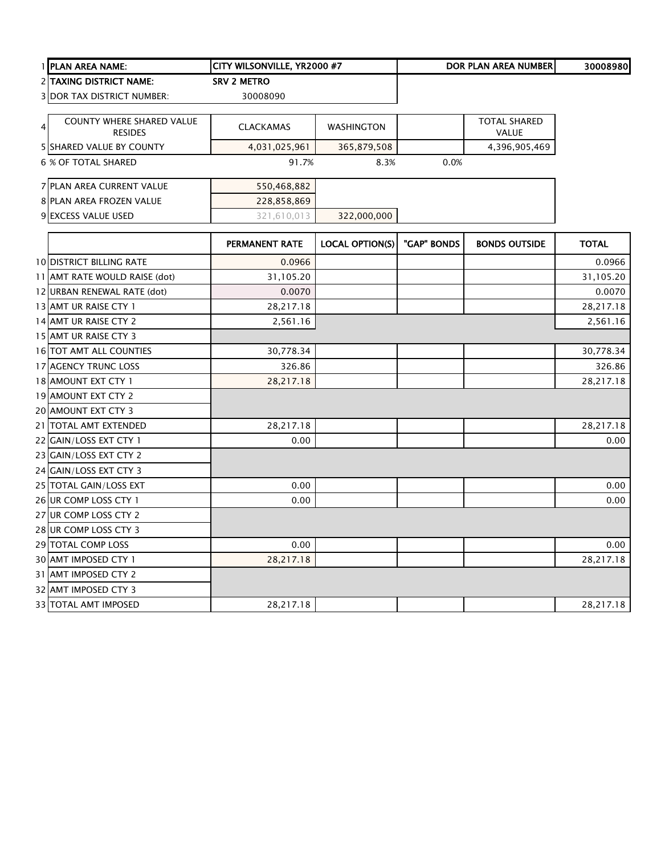|   | 1 PLAN AREA NAME:                           | CITY WILSONVILLE, YR2000 #7 |                        |             | <b>DOR PLAN AREA NUMBER</b>  | 30008980     |
|---|---------------------------------------------|-----------------------------|------------------------|-------------|------------------------------|--------------|
|   | 2 TAXING DISTRICT NAME:                     | <b>SRV 2 METRO</b>          |                        |             |                              |              |
|   | <b>3 DOR TAX DISTRICT NUMBER:</b>           | 30008090                    |                        |             |                              |              |
|   |                                             |                             |                        |             |                              |              |
| 4 | COUNTY WHERE SHARED VALUE<br><b>RESIDES</b> | <b>CLACKAMAS</b>            | <b>WASHINGTON</b>      |             | <b>TOTAL SHARED</b><br>VALUE |              |
|   | 5 SHARED VALUE BY COUNTY                    | 4,031,025,961               | 365,879,508            |             | 4,396,905,469                |              |
|   | 6 % OF TOTAL SHARED                         | 91.7%                       | 8.3%                   | 0.0%        |                              |              |
|   | 7 PLAN AREA CURRENT VALUE                   | 550,468,882                 |                        |             |                              |              |
|   | 8 PLAN AREA FROZEN VALUE                    | 228,858,869                 |                        |             |                              |              |
|   | 9 EXCESS VALUE USED                         | 321,610,013                 | 322,000,000            |             |                              |              |
|   |                                             | PERMANENT RATE              | <b>LOCAL OPTION(S)</b> | "GAP" BONDS | <b>BONDS OUTSIDE</b>         | <b>TOTAL</b> |
|   | <b>10 DISTRICT BILLING RATE</b>             | 0.0966                      |                        |             |                              | 0.0966       |
|   | 11 AMT RATE WOULD RAISE (dot)               | 31,105.20                   |                        |             |                              | 31,105.20    |
|   | 12 URBAN RENEWAL RATE (dot)                 | 0.0070                      |                        |             |                              | 0.0070       |
|   | 13 AMT UR RAISE CTY 1                       | 28,217.18                   |                        |             |                              | 28,217.18    |
|   | 14 AMT UR RAISE CTY 2                       | 2,561.16                    |                        |             |                              | 2,561.16     |
|   | 15 AMT UR RAISE CTY 3                       |                             |                        |             |                              |              |
|   | 16 TOT AMT ALL COUNTIES                     | 30,778.34                   |                        |             |                              | 30,778.34    |
|   | 17 AGENCY TRUNC LOSS                        | 326.86                      |                        |             |                              | 326.86       |
|   | 18 AMOUNT EXT CTY 1                         | 28,217.18                   |                        |             |                              | 28,217.18    |
|   | 19 AMOUNT EXT CTY 2                         |                             |                        |             |                              |              |
|   | 20 AMOUNT EXT CTY 3                         |                             |                        |             |                              |              |
|   | 21   TOTAL AMT EXTENDED                     | 28,217.18                   |                        |             |                              | 28,217.18    |
|   | 22 GAIN/LOSS EXT CTY 1                      | 0.00                        |                        |             |                              | 0.00         |
|   | 23 GAIN/LOSS EXT CTY 2                      |                             |                        |             |                              |              |
|   | 24 GAIN/LOSS EXT CTY 3                      |                             |                        |             |                              |              |
|   | 25 TOTAL GAIN/LOSS EXT                      | 0.00                        |                        |             |                              | 0.00         |
|   | 26 UR COMP LOSS CTY 1                       | 0.00                        |                        |             |                              | 0.00         |
|   | 27 UR COMP LOSS CTY 2                       |                             |                        |             |                              |              |
|   | 28 UR COMP LOSS CTY 3                       |                             |                        |             |                              |              |
|   | 29 TOTAL COMP LOSS                          | 0.00                        |                        |             |                              | 0.00         |
|   | 30 AMT IMPOSED CTY 1                        | 28,217.18                   |                        |             |                              | 28,217.18    |
|   | 31 AMT IMPOSED CTY 2                        |                             |                        |             |                              |              |
|   | 32 AMT IMPOSED CTY 3                        |                             |                        |             |                              |              |
|   | <b>33 TOTAL AMT IMPOSED</b>                 | 28,217.18                   |                        |             |                              | 28,217.18    |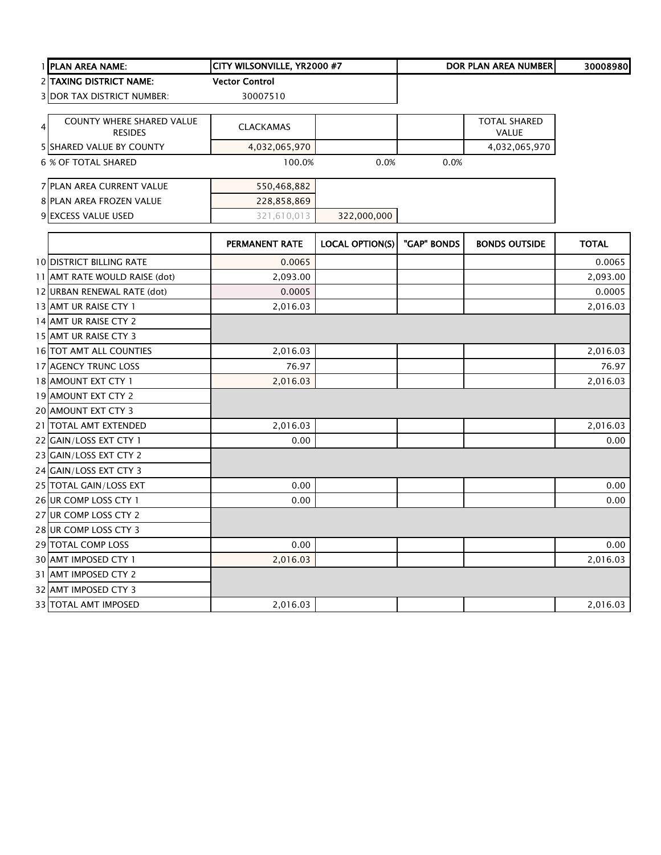|   | 1 PLAN AREA NAME:                                  | CITY WILSONVILLE, YR2000 #7 |                        |             | DOR PLAN AREA NUMBER                | 30008980     |
|---|----------------------------------------------------|-----------------------------|------------------------|-------------|-------------------------------------|--------------|
|   | 2 TAXING DISTRICT NAME:                            | <b>Vector Control</b>       |                        |             |                                     |              |
|   | <b>3 DOR TAX DISTRICT NUMBER:</b>                  | 30007510                    |                        |             |                                     |              |
|   |                                                    |                             |                        |             |                                     |              |
| 4 | <b>COUNTY WHERE SHARED VALUE</b><br><b>RESIDES</b> | <b>CLACKAMAS</b>            |                        |             | <b>TOTAL SHARED</b><br><b>VALUE</b> |              |
|   | 5 SHARED VALUE BY COUNTY                           | 4,032,065,970               |                        |             | 4,032,065,970                       |              |
|   | <b>6 % OF TOTAL SHARED</b>                         | 100.0%                      | 0.0%                   | 0.0%        |                                     |              |
|   | 7 PLAN AREA CURRENT VALUE                          | 550,468,882                 |                        |             |                                     |              |
|   | 8 PLAN AREA FROZEN VALUE                           | 228,858,869                 |                        |             |                                     |              |
|   | 9 EXCESS VALUE USED                                | 321,610,013                 | 322,000,000            |             |                                     |              |
|   |                                                    | <b>PERMANENT RATE</b>       | <b>LOCAL OPTION(S)</b> | "GAP" BONDS | <b>BONDS OUTSIDE</b>                | <b>TOTAL</b> |
|   | <b>10 DISTRICT BILLING RATE</b>                    | 0.0065                      |                        |             |                                     | 0.0065       |
|   | 11 AMT RATE WOULD RAISE (dot)                      | 2,093.00                    |                        |             |                                     | 2,093.00     |
|   | 12 URBAN RENEWAL RATE (dot)                        | 0.0005                      |                        |             |                                     | 0.0005       |
|   | 13 AMT UR RAISE CTY 1                              | 2,016.03                    |                        |             |                                     | 2,016.03     |
|   | 14 AMT UR RAISE CTY 2                              |                             |                        |             |                                     |              |
|   | 15 AMT UR RAISE CTY 3                              |                             |                        |             |                                     |              |
|   | <b>16 TOT AMT ALL COUNTIES</b>                     | 2,016.03                    |                        |             |                                     | 2,016.03     |
|   | 17 AGENCY TRUNC LOSS                               | 76.97                       |                        |             |                                     | 76.97        |
|   | 18 AMOUNT EXT CTY 1                                | 2,016.03                    |                        |             |                                     | 2,016.03     |
|   | 19 AMOUNT EXT CTY 2                                |                             |                        |             |                                     |              |
|   | 20 AMOUNT EXT CTY 3                                |                             |                        |             |                                     |              |
|   | 21 TOTAL AMT EXTENDED                              | 2,016.03                    |                        |             |                                     | 2,016.03     |
|   | 22 GAIN/LOSS EXT CTY 1                             | 0.00                        |                        |             |                                     | 0.00         |
|   | 23 GAIN/LOSS EXT CTY 2                             |                             |                        |             |                                     |              |
|   | 24 GAIN/LOSS EXT CTY 3                             |                             |                        |             |                                     |              |
|   | 25 TOTAL GAIN/LOSS EXT                             | 0.00                        |                        |             |                                     | 0.00         |
|   | 26 UR COMP LOSS CTY 1                              | 0.00                        |                        |             |                                     | 0.00         |
|   | 27 UR COMP LOSS CTY 2                              |                             |                        |             |                                     |              |
|   | 28 UR COMP LOSS CTY 3                              |                             |                        |             |                                     |              |
|   | 29 TOTAL COMP LOSS                                 | 0.00                        |                        |             |                                     | 0.00         |
|   | 30 AMT IMPOSED CTY 1                               | 2,016.03                    |                        |             |                                     | 2,016.03     |
|   | 31 AMT IMPOSED CTY 2                               |                             |                        |             |                                     |              |
|   | 32 AMT IMPOSED CTY 3                               |                             |                        |             |                                     |              |
|   | 33 TOTAL AMT IMPOSED                               | 2,016.03                    |                        |             |                                     | 2,016.03     |